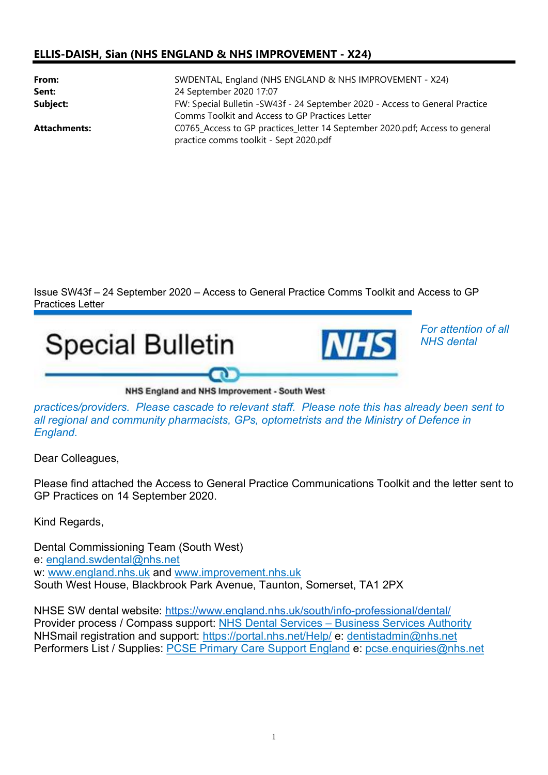## ELLIS-DAISH, Sian (NHS ENGLAND & NHS IMPROVEMENT - X24)

| From:<br>Sent:      | SWDENTAL, England (NHS ENGLAND & NHS IMPROVEMENT - X24)<br>24 September 2020 17:07                                              |
|---------------------|---------------------------------------------------------------------------------------------------------------------------------|
| Subject:            | FW: Special Bulletin -SW43f - 24 September 2020 - Access to General Practice<br>Comms Toolkit and Access to GP Practices Letter |
| <b>Attachments:</b> | C0765 Access to GP practices letter 14 September 2020.pdf; Access to general<br>practice comms toolkit - Sept 2020.pdf          |

Issue SW43f – 24 September 2020 – Access to General Practice Comms Toolkit and Access to GP Practices Letter

For attention of all



practices/providers. Please cascade to relevant staff. Please note this has already been sent to all regional and community pharmacists, GPs, optometrists and the Ministry of Defence in England.

Dear Colleagues,

Please find attached the Access to General Practice Communications Toolkit and the letter sent to GP Practices on 14 September 2020.

Kind Regards,

Dental Commissioning Team (South West) e: england.swdental@nhs.net w: www.england.nhs.uk and www.improvement.nhs.uk South West House, Blackbrook Park Avenue, Taunton, Somerset, TA1 2PX

NHSE SW dental website: https://www.england.nhs.uk/south/info-professional/dental/ Provider process / Compass support: NHS Dental Services – Business Services Authority NHSmail registration and support: https://portal.nhs.net/Help/ e: dentistadmin@nhs.net Performers List / Supplies: PCSE Primary Care Support England e: pcse.enquiries@nhs.net